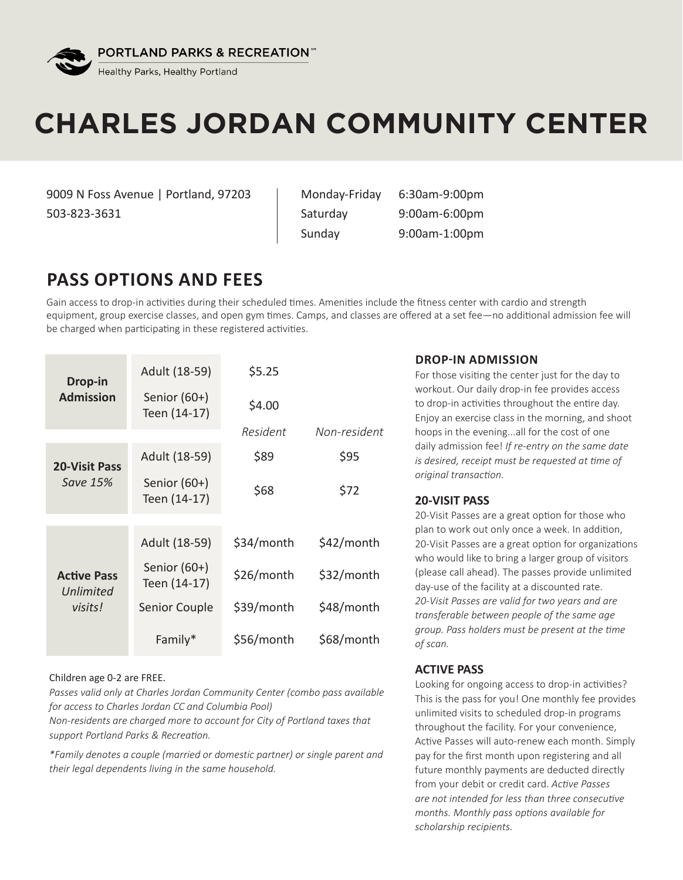

# **CHARLES JORDAN COMMUNITY CENTER**

9009 N Foss Avenue | Portland, 97203 503-823-3631

Monday-Friday 6:30am-9:00pm Saturday 9:00am-6:00pm Sunday 9:00am-1:00pm

## **PASS OPTIONS AND FEES**

Gain access to drop-in activities during their scheduled times. Amenities include the fitness center with cardio and strength equipment, group exercise classes, and open gym times. Camps, and classes are offered at a set fee—no additional admission fee will be charged when participating in these registered activities.

| Drop-in<br><b>Admission</b>                | Adult (18-59)                  | \$5.25     |              |
|--------------------------------------------|--------------------------------|------------|--------------|
|                                            | Senior (60+)<br>Teen (14-17)   | \$4.00     |              |
|                                            |                                | Resident   | Non-resident |
| <b>20-Visit Pass</b><br>Save 15%           | Adult (18-59)                  | \$89       | \$95         |
|                                            | Senior (60+)<br>Teen (14-17)   | \$68       | \$72         |
|                                            |                                |            |              |
| <b>Active Pass</b><br>Unlimited<br>visits! | Adult (18-59)                  | \$34/month | \$42/month   |
|                                            | Senior $(60+)$<br>Teen (14-17) | \$26/month | \$32/month   |
|                                            | Senior Couple                  | \$39/month | \$48/month   |
|                                            | Family*                        | \$56/month | \$68/month   |

#### Children age 0-2 are FREE.

*Passes valid only at Charles Jordan Community Center (combo pass available for access to Charles Jordan CC and Columbia Pool)*

*Non-residents are charged more to account for City of Portland taxes that support Portland Parks & Recreation.*

*\*Family denotes a couple (married or domestic partner) or single parent and their legal dependents living in the same household.*

#### **DROP-IN ADMISSION**

For those visiting the center just for the day to workout. Our daily drop-in fee provides access to drop-in activities throughout the entire day. Enjoy an exercise class in the morning, and shoot hoops in the evening...all for the cost of one daily admission fee! *If re-entry on the same date is desired, receipt must be requested at time of original transaction.*

#### **20-VISIT PASS**

20-Visit Passes are a great option for those who plan to work out only once a week. In addition, 20-Visit Passes are a great option for organizations who would like to bring a larger group of visitors (please call ahead). The passes provide unlimited day-use of the facility at a discounted rate. *20-Visit Passes are valid for two years and are transferable between people of the same age group. Pass holders must be present at the time of scan.*

#### **ACTIVE PASS**

Looking for ongoing access to drop-in activities? This is the pass for you! One monthly fee provides unlimited visits to scheduled drop-in programs throughout the facility. For your convenience, Active Passes will auto-renew each month. Simply pay for the first month upon registering and all future monthly payments are deducted directly from your debit or credit card. *Active Passes are not intended for less than three consecutive months. Monthly pass options available for scholarship recipients.*